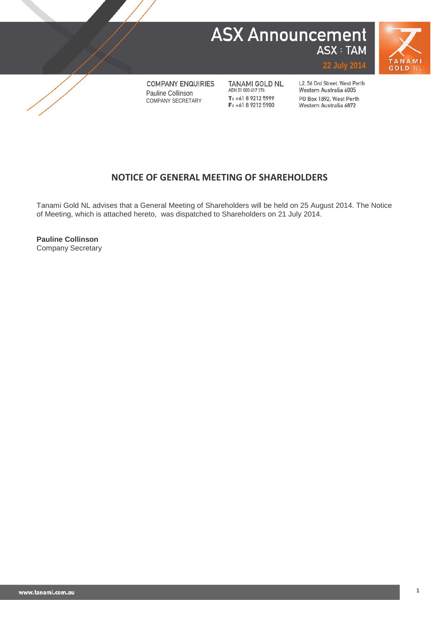# **ASX Announcement** ASX : TAM



**COMPANY ENQUIRIES** Pauline Collinson COMPANY SECRETARY

TANAMI GOLD NL ABN 51 000 617 176 T: +61 8 9212 5999 F: +61 8 9212 5900

L2, 56 Ord Street, West Perth Western Australia 6005 PO Box 1892, West Perth Western Australia 6872

**22 July 2014**

## **NOTICE OF GENERAL MEETING OF SHAREHOLDERS**

Tanami Gold NL advises that a General Meeting of Shareholders will be held on 25 August 2014. The Notice of Meeting, which is attached hereto, was dispatched to Shareholders on 21 July 2014.

**Pauline Collinson** Company Secretary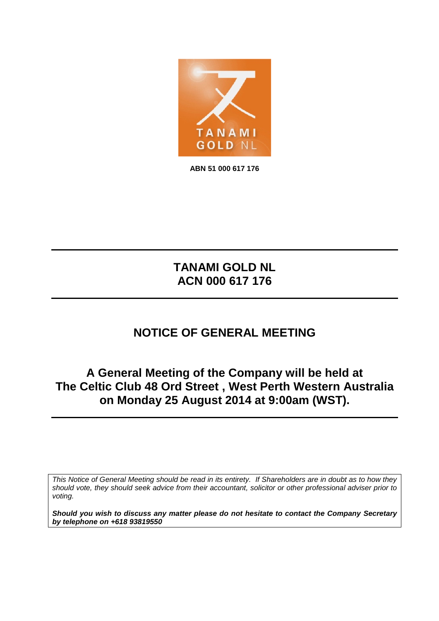

**ABN 51 000 617 176**

# **TANAMI GOLD NL ACN 000 617 176**

# **NOTICE OF GENERAL MEETING**

## **A General Meeting of the Company will be held at The Celtic Club 48 Ord Street , West Perth Western Australia on Monday 25 August 2014 at 9:00am (WST).**

*This Notice of General Meeting should be read in its entirety. If Shareholders are in doubt as to how they should vote, they should seek advice from their accountant, solicitor or other professional adviser prior to voting.*

*Should you wish to discuss any matter please do not hesitate to contact the Company Secretary by telephone on +618 93819550*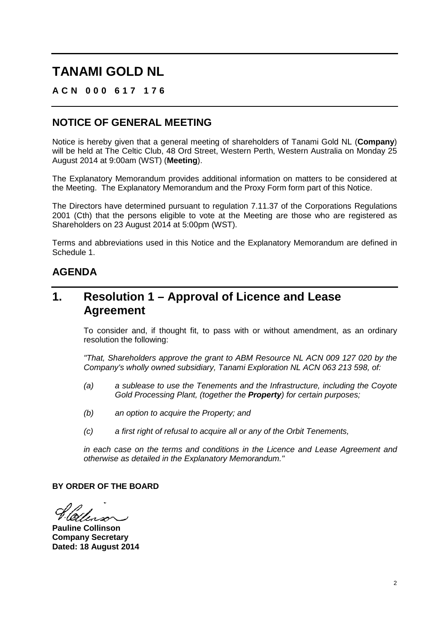# **TANAMI GOLD NL**

### **ACN 000 617 176**

## **NOTICE OF GENERAL MEETING**

Notice is hereby given that a general meeting of shareholders of Tanami Gold NL (**Company**) will be held at The Celtic Club, 48 Ord Street, Western Perth, Western Australia on Monday 25 August 2014 at 9:00am (WST) (**Meeting**).

The Explanatory Memorandum provides additional information on matters to be considered at the Meeting. The Explanatory Memorandum and the Proxy Form form part of this Notice.

The Directors have determined pursuant to regulation 7.11.37 of the Corporations Regulations 2001 (Cth) that the persons eligible to vote at the Meeting are those who are registered as Shareholders on 23 August 2014 at 5:00pm (WST).

Terms and abbreviations used in this Notice and the Explanatory Memorandum are defined in [Schedule](#page-10-0) 1.

### <span id="page-2-0"></span>**AGENDA**

## **1. Resolution 1 – Approval of Licence and Lease Agreement**

To consider and, if thought fit, to pass with or without amendment, as an ordinary resolution the following:

*"That, Shareholders approve the grant to ABM Resource NL ACN 009 127 020 by the Company's wholly owned subsidiary, Tanami Exploration NL ACN 063 213 598, of:* 

- *(a) a sublease to use the Tenements and the Infrastructure, including the Coyote Gold Processing Plant, (together the Property) for certain purposes;*
- *(b) an option to acquire the Property; and*
- *(c) a first right of refusal to acquire all or any of the Orbit Tenements,*

*in each case on the terms and conditions in the Licence and Lease Agreement and otherwise as detailed in the Explanatory Memorandum."*

**BY ORDER OF THE BOARD**

**Pauline Collinson Company Secretary Dated: 18 August 2014**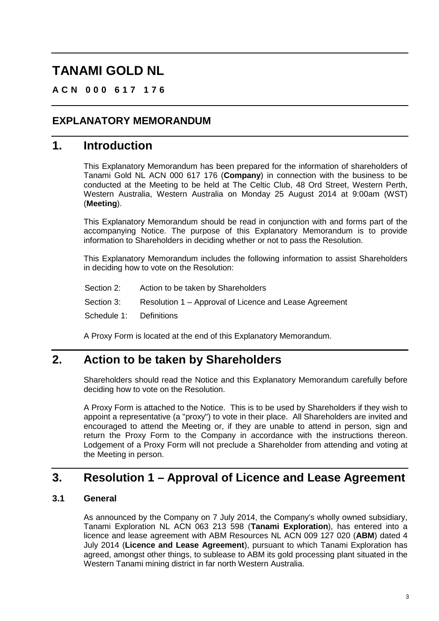# **TANAMI GOLD NL**

**ACN 000 617 176**

## **EXPLANATORY MEMORANDUM**

## **1. Introduction**

This Explanatory Memorandum has been prepared for the information of shareholders of Tanami Gold NL ACN 000 617 176 (**Company**) in connection with the business to be conducted at the Meeting to be held at The Celtic Club, 48 Ord Street, Western Perth, Western Australia, Western Australia on Monday 25 August 2014 at 9:00am (WST) (**Meeting**).

This Explanatory Memorandum should be read in conjunction with and forms part of the accompanying Notice. The purpose of this Explanatory Memorandum is to provide information to Shareholders in deciding whether or not to pass the Resolution.

This Explanatory Memorandum includes the following information to assist Shareholders in deciding how to vote on the Resolution:

Section [2:](#page-3-0) Action to be taken by Shareholders

Section [3:](#page-3-1) Resolution [1](#page-2-0) – Approval of Licence and Lease Agreement

[Schedule](#page-10-0) 1: Definitions

A Proxy Form is located at the end of this Explanatory Memorandum.

## <span id="page-3-0"></span>**2. Action to be taken by Shareholders**

Shareholders should read the Notice and this Explanatory Memorandum carefully before deciding how to vote on the Resolution.

A Proxy Form is attached to the Notice. This is to be used by Shareholders if they wish to appoint a representative (a "proxy") to vote in their place. All Shareholders are invited and encouraged to attend the Meeting or, if they are unable to attend in person, sign and return the Proxy Form to the Company in accordance with the instructions thereon. Lodgement of a Proxy Form will not preclude a Shareholder from attending and voting at the Meeting in person.

## <span id="page-3-1"></span>**3. Resolution 1 – Approval of Licence and Lease Agreement**

### <span id="page-3-2"></span>**3.1 General**

As announced by the Company on 7 July 2014, the Company's wholly owned subsidiary, Tanami Exploration NL ACN 063 213 598 (**Tanami Exploration**), has entered into a licence and lease agreement with ABM Resources NL ACN 009 127 020 (**ABM**) dated 4 July 2014 (**Licence and Lease Agreement**), pursuant to which Tanami Exploration has agreed, amongst other things, to sublease to ABM its gold processing plant situated in the Western Tanami mining district in far north Western Australia.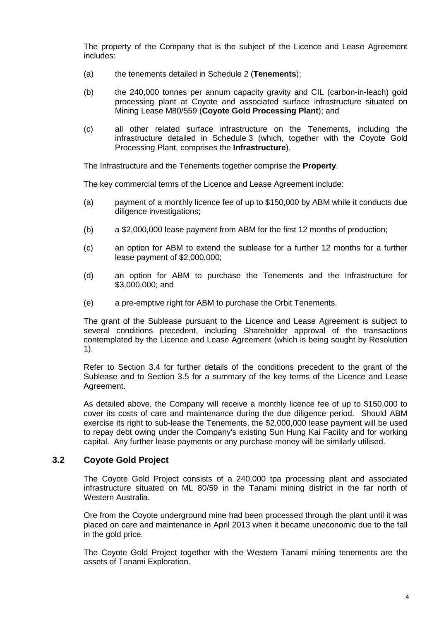The property of the Company that is the subject of the Licence and Lease Agreement includes:

- (a) the tenements detailed in [Schedule](#page-12-0) 2 (**Tenements**);
- (b) the 240,000 tonnes per annum capacity gravity and CIL (carbon-in-leach) gold processing plant at Coyote and associated surface infrastructure situated on Mining Lease M80/559 (**Coyote Gold Processing Plant**); and
- (c) all other related surface infrastructure on the Tenements, including the infrastructure detailed in [Schedule](#page-13-0) 3 (which, together with the Coyote Gold Processing Plant, comprises the **Infrastructure**).

The Infrastructure and the Tenements together comprise the **Property**.

The key commercial terms of the Licence and Lease Agreement include:

- (a) payment of a monthly licence fee of up to \$150,000 by ABM while it conducts due diligence investigations;
- (b) a \$2,000,000 lease payment from ABM for the first 12 months of production;
- (c) an option for ABM to extend the sublease for a further 12 months for a further lease payment of \$2,000,000;
- (d) an option for ABM to purchase the Tenements and the Infrastructure for \$3,000,000; and
- (e) a pre-emptive right for ABM to purchase the Orbit Tenements.

The grant of the Sublease pursuant to the Licence and Lease Agreement is subject to several conditions precedent, including Shareholder approval of the transactions contemplated by the Licence and Lease Agreement (which is being sought by Resolution 1).

Refer to Section [3.4](#page-5-0) for further details of the conditions precedent to the grant of the Sublease and to Section [3.5](#page-6-0) for a summary of the key terms of the Licence and Lease Agreement.

As detailed above, the Company will receive a monthly licence fee of up to \$150,000 to cover its costs of care and maintenance during the due diligence period. Should ABM exercise its right to sub-lease the Tenements, the \$2,000,000 lease payment will be used to repay debt owing under the Company's existing Sun Hung Kai Facility and for working capital. Any further lease payments or any purchase money will be similarly utilised.

### **3.2 Coyote Gold Project**

The Coyote Gold Project consists of a 240,000 tpa processing plant and associated infrastructure situated on ML 80/59 in the Tanami mining district in the far north of Western Australia.

Ore from the Coyote underground mine had been processed through the plant until it was placed on care and maintenance in April 2013 when it became uneconomic due to the fall in the gold price.

The Coyote Gold Project together with the Western Tanami mining tenements are the assets of Tanami Exploration.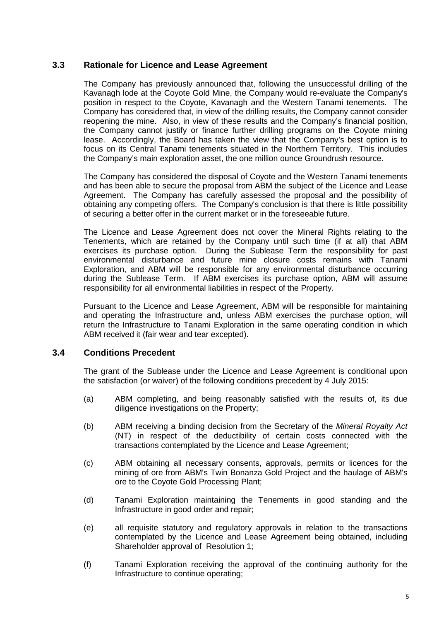### <span id="page-5-1"></span>**3.3 Rationale for Licence and Lease Agreement**

The Company has previously announced that, following the unsuccessful drilling of the Kavanagh lode at the Coyote Gold Mine, the Company would re-evaluate the Company's position in respect to the Coyote, Kavanagh and the Western Tanami tenements. The Company has considered that, in view of the drilling results, the Company cannot consider reopening the mine. Also, in view of these results and the Company's financial position, the Company cannot justify or finance further drilling programs on the Coyote mining lease. Accordingly, the Board has taken the view that the Company's best option is to focus on its Central Tanami tenements situated in the Northern Territory. This includes the Company's main exploration asset, the one million ounce Groundrush resource.

The Company has considered the disposal of Coyote and the Western Tanami tenements and has been able to secure the proposal from ABM the subject of the Licence and Lease Agreement. The Company has carefully assessed the proposal and the possibility of obtaining any competing offers. The Company's conclusion is that there is little possibility of securing a better offer in the current market or in the foreseeable future.

The Licence and Lease Agreement does not cover the Mineral Rights relating to the Tenements, which are retained by the Company until such time (if at all) that ABM exercises its purchase option. During the Sublease Term the responsibility for past environmental disturbance and future mine closure costs remains with Tanami Exploration, and ABM will be responsible for any environmental disturbance occurring during the Sublease Term. If ABM exercises its purchase option, ABM will assume responsibility for all environmental liabilities in respect of the Property.

Pursuant to the Licence and Lease Agreement, ABM will be responsible for maintaining and operating the Infrastructure and, unless ABM exercises the purchase option, will return the Infrastructure to Tanami Exploration in the same operating condition in which ABM received it (fair wear and tear excepted).

### <span id="page-5-0"></span>**3.4 Conditions Precedent**

The grant of the Sublease under the Licence and Lease Agreement is conditional upon the satisfaction (or waiver) of the following conditions precedent by 4 July 2015:

- (a) ABM completing, and being reasonably satisfied with the results of, its due diligence investigations on the Property;
- (b) ABM receiving a binding decision from the Secretary of the *Mineral Royalty Act* (NT) in respect of the deductibility of certain costs connected with the transactions contemplated by the Licence and Lease Agreement;
- (c) ABM obtaining all necessary consents, approvals, permits or licences for the mining of ore from ABM's Twin Bonanza Gold Project and the haulage of ABM's ore to the Coyote Gold Processing Plant;
- (d) Tanami Exploration maintaining the Tenements in good standing and the Infrastructure in good order and repair;
- (e) all requisite statutory and regulatory approvals in relation to the transactions contemplated by the Licence and Lease Agreement being obtained, including Shareholder approval of Resolution 1;
- (f) Tanami Exploration receiving the approval of the continuing authority for the Infrastructure to continue operating;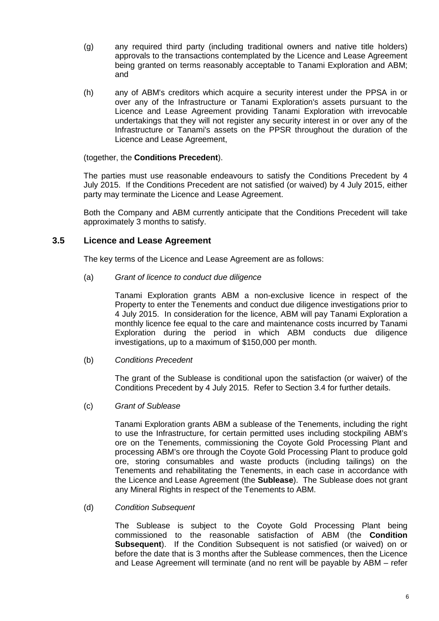- (g) any required third party (including traditional owners and native title holders) approvals to the transactions contemplated by the Licence and Lease Agreement being granted on terms reasonably acceptable to Tanami Exploration and ABM; and
- (h) any of ABM's creditors which acquire a security interest under the PPSA in or over any of the Infrastructure or Tanami Exploration's assets pursuant to the Licence and Lease Agreement providing Tanami Exploration with irrevocable undertakings that they will not register any security interest in or over any of the Infrastructure or Tanami's assets on the PPSR throughout the duration of the Licence and Lease Agreement,

#### (together, the **Conditions Precedent**).

The parties must use reasonable endeavours to satisfy the Conditions Precedent by 4 July 2015. If the Conditions Precedent are not satisfied (or waived) by 4 July 2015, either party may terminate the Licence and Lease Agreement.

Both the Company and ABM currently anticipate that the Conditions Precedent will take approximately 3 months to satisfy.

#### <span id="page-6-0"></span>**3.5 Licence and Lease Agreement**

The key terms of the Licence and Lease Agreement are as follows:

(a) *Grant of licence to conduct due diligence*

Tanami Exploration grants ABM a non-exclusive licence in respect of the Property to enter the Tenements and conduct due diligence investigations prior to 4 July 2015. In consideration for the licence, ABM will pay Tanami Exploration a monthly licence fee equal to the care and maintenance costs incurred by Tanami Exploration during the period in which ABM conducts due diligence investigations, up to a maximum of \$150,000 per month.

<span id="page-6-2"></span>(b) *Conditions Precedent*

The grant of the Sublease is conditional upon the satisfaction (or waiver) of the Conditions Precedent by 4 July 2015. Refer to Section [3.4](#page-5-0) for further details.

(c) *Grant of Sublease* 

Tanami Exploration grants ABM a sublease of the Tenements, including the right to use the Infrastructure, for certain permitted uses including stockpiling ABM's ore on the Tenements, commissioning the Coyote Gold Processing Plant and processing ABM's ore through the Coyote Gold Processing Plant to produce gold ore, storing consumables and waste products (including tailings) on the Tenements and rehabilitating the Tenements, in each case in accordance with the Licence and Lease Agreement (the **Sublease**). The Sublease does not grant any Mineral Rights in respect of the Tenements to ABM.

<span id="page-6-1"></span>(d) *Condition Subsequent*

The Sublease is subject to the Coyote Gold Processing Plant being commissioned to the reasonable satisfaction of ABM (the **Condition Subsequent**). If the Condition Subsequent is not satisfied (or waived) on or before the date that is 3 months after the Sublease commences, then the Licence and Lease Agreement will terminate (and no rent will be payable by ABM – refer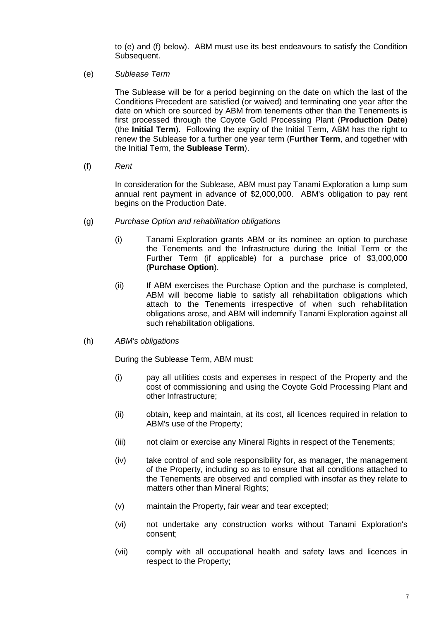to (e) and (f) below). ABM must use its best endeavours to satisfy the Condition Subsequent.

(e) *Sublease Term*

The Sublease will be for a period beginning on the date on which the last of the Conditions Precedent are satisfied (or waived) and terminating one year after the date on which ore sourced by ABM from tenements other than the Tenements is first processed through the Coyote Gold Processing Plant (**Production Date**) (the **Initial Term**). Following the expiry of the Initial Term, ABM has the right to renew the Sublease for a further one year term (**Further Term**, and together with the Initial Term, the **Sublease Term**).

(f) *Rent*

In consideration for the Sublease, ABM must pay Tanami Exploration a lump sum annual rent payment in advance of \$2,000,000. ABM's obligation to pay rent begins on the Production Date.

- (g) *Purchase Option and rehabilitation obligations*
	- (i) Tanami Exploration grants ABM or its nominee an option to purchase the Tenements and the Infrastructure during the Initial Term or the Further Term (if applicable) for a purchase price of \$3,000,000 (**Purchase Option**).
	- (ii) If ABM exercises the Purchase Option and the purchase is completed, ABM will become liable to satisfy all rehabilitation obligations which attach to the Tenements irrespective of when such rehabilitation obligations arose, and ABM will indemnify Tanami Exploration against all such rehabilitation obligations.
- (h) *ABM's obligations*

During the Sublease Term, ABM must:

- (i) pay all utilities costs and expenses in respect of the Property and the cost of commissioning and using the Coyote Gold Processing Plant and other Infrastructure;
- (ii) obtain, keep and maintain, at its cost, all licences required in relation to ABM's use of the Property;
- (iii) not claim or exercise any Mineral Rights in respect of the Tenements;
- (iv) take control of and sole responsibility for, as manager, the management of the Property, including so as to ensure that all conditions attached to the Tenements are observed and complied with insofar as they relate to matters other than Mineral Rights;
- (v) maintain the Property, fair wear and tear excepted;
- (vi) not undertake any construction works without Tanami Exploration's consent;
- (vii) comply with all occupational health and safety laws and licences in respect to the Property;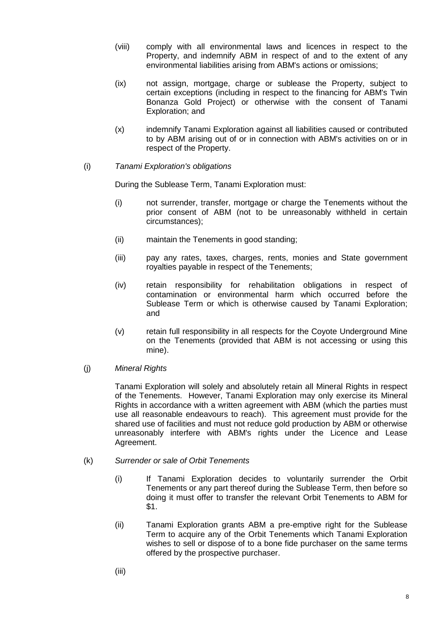- (viii) comply with all environmental laws and licences in respect to the Property, and indemnify ABM in respect of and to the extent of any environmental liabilities arising from ABM's actions or omissions;
- (ix) not assign, mortgage, charge or sublease the Property, subject to certain exceptions (including in respect to the financing for ABM's Twin Bonanza Gold Project) or otherwise with the consent of Tanami Exploration; and
- (x) indemnify Tanami Exploration against all liabilities caused or contributed to by ABM arising out of or in connection with ABM's activities on or in respect of the Property.
- (i) *Tanami Exploration's obligations*

During the Sublease Term, Tanami Exploration must:

- (i) not surrender, transfer, mortgage or charge the Tenements without the prior consent of ABM (not to be unreasonably withheld in certain circumstances);
- (ii) maintain the Tenements in good standing;
- (iii) pay any rates, taxes, charges, rents, monies and State government royalties payable in respect of the Tenements;
- (iv) retain responsibility for rehabilitation obligations in respect of contamination or environmental harm which occurred before the Sublease Term or which is otherwise caused by Tanami Exploration; and
- (v) retain full responsibility in all respects for the Coyote Underground Mine on the Tenements (provided that ABM is not accessing or using this mine).
- (j) *Mineral Rights*

Tanami Exploration will solely and absolutely retain all Mineral Rights in respect of the Tenements. However, Tanami Exploration may only exercise its Mineral Rights in accordance with a written agreement with ABM (which the parties must use all reasonable endeavours to reach). This agreement must provide for the shared use of facilities and must not reduce gold production by ABM or otherwise unreasonably interfere with ABM's rights under the Licence and Lease Agreement.

- (k) *Surrender or sale of Orbit Tenements*
	- (i) If Tanami Exploration decides to voluntarily surrender the Orbit Tenements or any part thereof during the Sublease Term, then before so doing it must offer to transfer the relevant Orbit Tenements to ABM for \$1.
	- (ii) Tanami Exploration grants ABM a pre-emptive right for the Sublease Term to acquire any of the Orbit Tenements which Tanami Exploration wishes to sell or dispose of to a bone fide purchaser on the same terms offered by the prospective purchaser.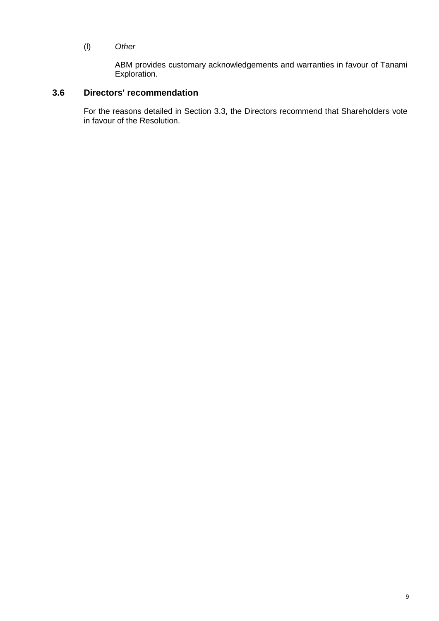### (l) *Other*

ABM provides customary acknowledgements and warranties in favour of Tanami Exploration.

#### **3.6 Directors' recommendation**

For the reasons detailed in Section [3.3,](#page-5-1) the Directors recommend that Shareholders vote in favour of the Resolution.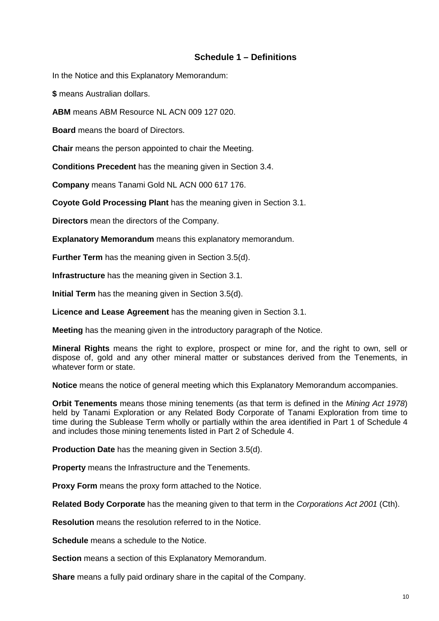### **Schedule 1 – Definitions**

<span id="page-10-0"></span>In the Notice and this Explanatory Memorandum:

**\$** means Australian dollars.

**ABM** means ABM Resource NL ACN 009 127 020.

**Board** means the board of Directors.

**Chair** means the person appointed to chair the Meeting.

**Conditions Precedent** has the meaning given in Section [3.4.](#page-5-0)

**Company** means Tanami Gold NL ACN 000 617 176.

**Coyote Gold Processing Plant** has the meaning given in Section [3.1.](#page-3-2)

**Directors** mean the directors of the Company.

**Explanatory Memorandum** means this explanatory memorandum.

**Further Term** has the meaning given in Section [3.5\(d\).](#page-6-1)

**Infrastructure** has the meaning given in Section [3.1.](#page-3-2)

**Initial Term** has the meaning given in Section [3.5\(d\).](#page-6-1)

**Licence and Lease Agreement** has the meaning given in Section [3.1.](#page-3-2)

**Meeting** has the meaning given in the introductory paragraph of the Notice.

**Mineral Rights** means the right to explore, prospect or mine for, and the right to own, sell or dispose of, gold and any other mineral matter or substances derived from the Tenements, in whatever form or state.

**Notice** means the notice of general meeting which this Explanatory Memorandum accompanies.

**Orbit Tenements** means those mining tenements (as that term is defined in the *Mining Act 1978*) held by Tanami Exploration or any Related Body Corporate of Tanami Exploration from time to time during the Sublease Term wholly or partially within the area identified in Part 1 of [Schedule](#page-14-0) 4 and includes those mining tenements listed in Part 2 of [Schedule](#page-14-0) 4.

**Production Date** has the meaning given in Section [3.5\(d\).](#page-6-1)

**Property** means the Infrastructure and the Tenements.

**Proxy Form** means the proxy form attached to the Notice.

**Related Body Corporate** has the meaning given to that term in the *Corporations Act 2001* (Cth).

**Resolution** means the resolution referred to in the Notice.

**Schedule** means a schedule to the Notice.

**Section** means a section of this Explanatory Memorandum.

**Share** means a fully paid ordinary share in the capital of the Company.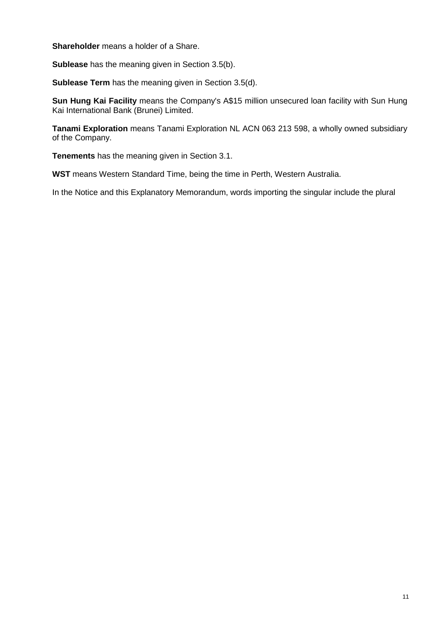**Shareholder** means a holder of a Share.

**Sublease** has the meaning given in Section [3.5\(b\).](#page-6-2)

**Sublease Term** has the meaning given in Section [3.5\(d\).](#page-6-1)

**Sun Hung Kai Facility** means the Company's A\$15 million unsecured loan facility with Sun Hung Kai International Bank (Brunei) Limited.

**Tanami Exploration** means Tanami Exploration NL ACN 063 213 598, a wholly owned subsidiary of the Company.

**Tenements** has the meaning given in Section [3.1.](#page-3-2)

**WST** means Western Standard Time, being the time in Perth, Western Australia.

In the Notice and this Explanatory Memorandum, words importing the singular include the plural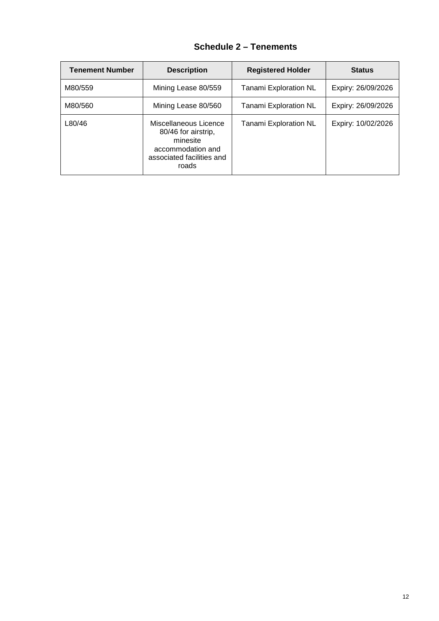## **Schedule 2 – Tenements**

<span id="page-12-0"></span>

| <b>Tenement Number</b> | <b>Description</b>                                                                                                  | <b>Registered Holder</b> | <b>Status</b>      |
|------------------------|---------------------------------------------------------------------------------------------------------------------|--------------------------|--------------------|
| M80/559                | Mining Lease 80/559                                                                                                 | Tanami Exploration NL    | Expiry: 26/09/2026 |
| M80/560                | Mining Lease 80/560                                                                                                 | Tanami Exploration NL    | Expiry: 26/09/2026 |
| L80/46                 | Miscellaneous Licence<br>80/46 for airstrip,<br>minesite<br>accommodation and<br>associated facilities and<br>roads | Tanami Exploration NL    | Expiry: 10/02/2026 |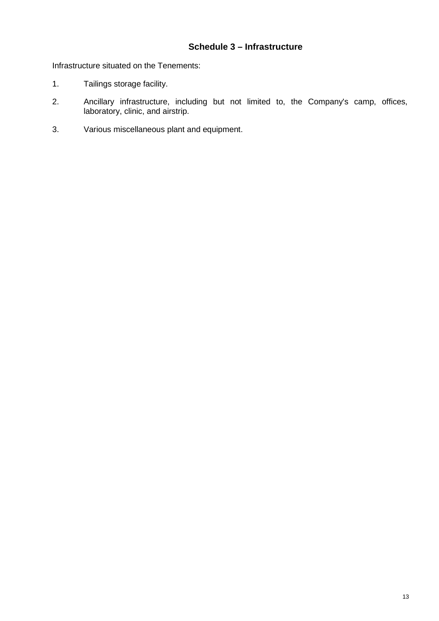### **Schedule 3 – Infrastructure**

<span id="page-13-0"></span>Infrastructure situated on the Tenements:

- 1. Tailings storage facility.
- 2. Ancillary infrastructure, including but not limited to, the Company's camp, offices, laboratory, clinic, and airstrip.
- 3. Various miscellaneous plant and equipment.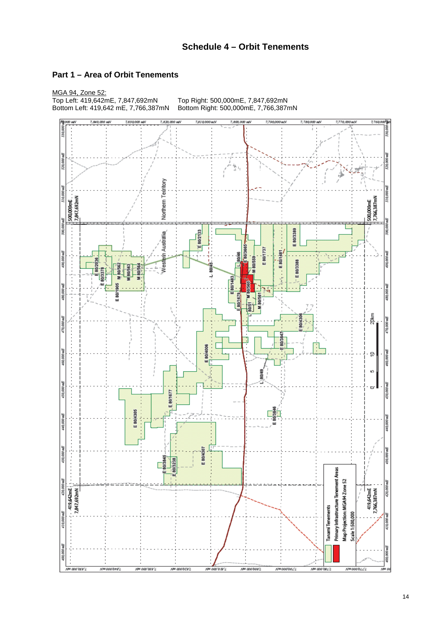### <span id="page-14-0"></span>**Part 1 – Area of Orbit Tenements**

#### MGA 94, Zone 52:

Top Left: 419,642mE, 7,847,692mN Top Right: 500,000mE, 7,847,692mN Top Right: 500,000mE, 7,847,692mN<br>Bottom Right: 500,000mE, 7,766,387mN

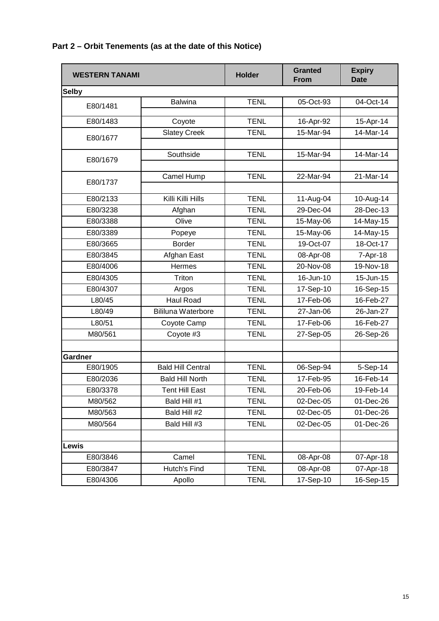## **Part 2 – Orbit Tenements (as at the date of this Notice)**

| <b>WESTERN TANAMI</b> |                           | <b>Holder</b> | <b>Granted</b><br><b>From</b> | <b>Expiry</b><br><b>Date</b> |  |  |
|-----------------------|---------------------------|---------------|-------------------------------|------------------------------|--|--|
| <b>Selby</b>          |                           |               |                               |                              |  |  |
| E80/1481              | <b>Balwina</b>            | <b>TENL</b>   | 05-Oct-93                     | 04-Oct-14                    |  |  |
|                       |                           |               |                               |                              |  |  |
| E80/1483              | Coyote                    | <b>TENL</b>   | 16-Apr-92                     | 15-Apr-14                    |  |  |
| E80/1677              | <b>Slatey Creek</b>       | <b>TENL</b>   | 15-Mar-94                     | 14-Mar-14                    |  |  |
|                       |                           |               |                               |                              |  |  |
| E80/1679              | Southside                 | <b>TENL</b>   | 15-Mar-94                     | 14-Mar-14                    |  |  |
|                       |                           |               |                               |                              |  |  |
| E80/1737              | Camel Hump                | <b>TENL</b>   | 22-Mar-94                     | 21-Mar-14                    |  |  |
|                       |                           |               |                               |                              |  |  |
| E80/2133              | Killi Killi Hills         | <b>TENL</b>   | 11-Aug-04                     | 10-Aug-14                    |  |  |
| E80/3238              | Afghan                    | <b>TENL</b>   | 29-Dec-04                     | 28-Dec-13                    |  |  |
| E80/3388              | Olive                     | <b>TENL</b>   | 15-May-06                     | 14-May-15                    |  |  |
| E80/3389              | Popeye                    | <b>TENL</b>   | 15-May-06                     | 14-May-15                    |  |  |
| E80/3665              | <b>Border</b>             | <b>TENL</b>   | 19-Oct-07                     | 18-Oct-17                    |  |  |
| E80/3845              | Afghan East               | <b>TENL</b>   | 08-Apr-08                     | 7-Apr-18                     |  |  |
| E80/4006              | Hermes                    | <b>TENL</b>   | 20-Nov-08                     | 19-Nov-18                    |  |  |
| E80/4305              | Triton                    | <b>TENL</b>   | 16-Jun-10                     | 15-Jun-15                    |  |  |
| E80/4307              | Argos                     | <b>TENL</b>   | 17-Sep-10                     | 16-Sep-15                    |  |  |
| L80/45                | <b>Haul Road</b>          | <b>TENL</b>   | 17-Feb-06                     | 16-Feb-27                    |  |  |
| L80/49                | <b>Bililuna Waterbore</b> | <b>TENL</b>   | 27-Jan-06                     | 26-Jan-27                    |  |  |
| L80/51                | Coyote Camp               | <b>TENL</b>   | 17-Feb-06                     | 16-Feb-27                    |  |  |
| M80/561               | Coyote #3                 | <b>TENL</b>   | 27-Sep-05                     | 26-Sep-26                    |  |  |
|                       |                           |               |                               |                              |  |  |
| Gardner               |                           |               |                               |                              |  |  |
| E80/1905              | <b>Bald Hill Central</b>  | <b>TENL</b>   | 06-Sep-94                     | 5-Sep-14                     |  |  |
| E80/2036              | <b>Bald Hill North</b>    | <b>TENL</b>   | 17-Feb-95                     | 16-Feb-14                    |  |  |
| E80/3378              | <b>Tent Hill East</b>     | <b>TENL</b>   | 20-Feb-06                     | 19-Feb-14                    |  |  |
| M80/562               | Bald Hill #1              | <b>TENL</b>   | 02-Dec-05                     | 01-Dec-26                    |  |  |
| M80/563               | Bald Hill #2              | <b>TENL</b>   | 02-Dec-05                     | 01-Dec-26                    |  |  |
| M80/564               | Bald Hill #3              | <b>TENL</b>   | 02-Dec-05                     | 01-Dec-26                    |  |  |
|                       |                           |               |                               |                              |  |  |
| Lewis                 |                           |               |                               |                              |  |  |
| E80/3846              | Camel                     | <b>TENL</b>   | 07-Apr-18                     |                              |  |  |
| E80/3847              | Hutch's Find              | <b>TENL</b>   | 08-Apr-08<br>07-Apr-18        |                              |  |  |
| E80/4306              | Apollo                    | <b>TENL</b>   | 17-Sep-10                     | 16-Sep-15                    |  |  |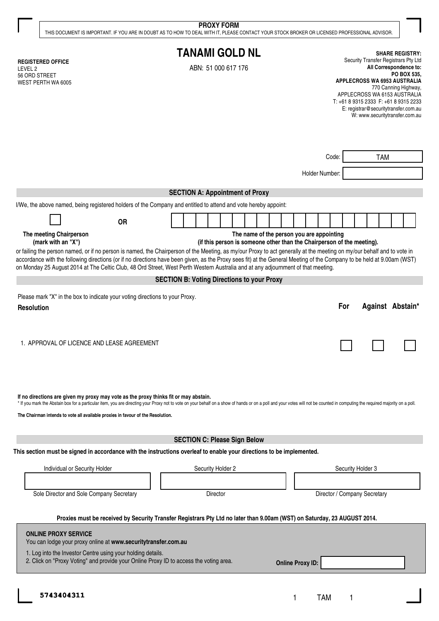#### **PROXY FORM**

THIS DOCUMENT IS IMPORTANT. IF YOU ARE IN DOUBT AS TO HOW TO DEAL WITH IT, PLEASE CONTACT YOUR STOCK BROKER OR LICENSED PROFESSIONAL ADVISOR.

| <b>REGISTERED OFFICE</b><br>LEVEL 2<br>56 ORD STREET<br>WEST PERTH WA 6005                                                                                                                                                                                                                                                                                                                                                                                                                                                                                                                                                                                                                                                                                                                        | <b>TANAMI GOLD NL</b><br>ABN: 51 000 617 176                                                                                                              | <b>SHARE REGISTRY:</b><br>Security Transfer Registrars Pty Ltd<br>All Correspondence to:<br>PO BOX 535.<br><b>APPLECROSS WA 6953 AUSTRALIA</b><br>770 Canning Highway.<br>APPLECROSS WA 6153 AUSTRALIA<br>T: +61 8 9315 2333 F: +61 8 9315 2233<br>E: registrar@securitytransfer.com.au<br>W: www.securitytransfer.com.au |                                                   |  |  |  |
|---------------------------------------------------------------------------------------------------------------------------------------------------------------------------------------------------------------------------------------------------------------------------------------------------------------------------------------------------------------------------------------------------------------------------------------------------------------------------------------------------------------------------------------------------------------------------------------------------------------------------------------------------------------------------------------------------------------------------------------------------------------------------------------------------|-----------------------------------------------------------------------------------------------------------------------------------------------------------|---------------------------------------------------------------------------------------------------------------------------------------------------------------------------------------------------------------------------------------------------------------------------------------------------------------------------|---------------------------------------------------|--|--|--|
|                                                                                                                                                                                                                                                                                                                                                                                                                                                                                                                                                                                                                                                                                                                                                                                                   |                                                                                                                                                           | Code:                                                                                                                                                                                                                                                                                                                     | <b>TAM</b>                                        |  |  |  |
|                                                                                                                                                                                                                                                                                                                                                                                                                                                                                                                                                                                                                                                                                                                                                                                                   |                                                                                                                                                           | Holder Number:                                                                                                                                                                                                                                                                                                            |                                                   |  |  |  |
|                                                                                                                                                                                                                                                                                                                                                                                                                                                                                                                                                                                                                                                                                                                                                                                                   | <b>SECTION A: Appointment of Proxy</b>                                                                                                                    |                                                                                                                                                                                                                                                                                                                           |                                                   |  |  |  |
| I/We, the above named, being registered holders of the Company and entitled to attend and vote hereby appoint:                                                                                                                                                                                                                                                                                                                                                                                                                                                                                                                                                                                                                                                                                    |                                                                                                                                                           |                                                                                                                                                                                                                                                                                                                           |                                                   |  |  |  |
| <b>OR</b>                                                                                                                                                                                                                                                                                                                                                                                                                                                                                                                                                                                                                                                                                                                                                                                         |                                                                                                                                                           |                                                                                                                                                                                                                                                                                                                           |                                                   |  |  |  |
| The meeting Chairperson<br>The name of the person you are appointing<br>(if this person is someone other than the Chairperson of the meeting).<br>(mark with an "X")<br>or failing the person named, or if no person is named, the Chairperson of the Meeting, as my/our Proxy to act generally at the meeting on my/our behalf and to vote in<br>accordance with the following directions (or if no directions have been given, as the Proxy sees fit) at the General Meeting of the Company to be held at 9.00am (WST)<br>on Monday 25 August 2014 at The Celtic Club, 48 Ord Street, West Perth Western Australia and at any adjournment of that meeting.<br><b>SECTION B: Voting Directions to your Proxy</b><br>Please mark "X" in the box to indicate your voting directions to your Proxy. |                                                                                                                                                           |                                                                                                                                                                                                                                                                                                                           |                                                   |  |  |  |
| <b>Resolution</b><br>1. APPROVAL OF LICENCE AND LEASE AGREEMENT                                                                                                                                                                                                                                                                                                                                                                                                                                                                                                                                                                                                                                                                                                                                   |                                                                                                                                                           |                                                                                                                                                                                                                                                                                                                           | For<br>Against Abstain*                           |  |  |  |
| If no directions are given my proxy may vote as the proxy thinks fit or may abstain.<br>* If you mark the Abstain box for a particular item, you are directing your Proxy not to vote on your behalf on a show of hands or on a poll and your votes will not be counted in computing the required majority on a poll.<br>The Chairman intends to vote all available proxies in favour of the Resolution.                                                                                                                                                                                                                                                                                                                                                                                          |                                                                                                                                                           |                                                                                                                                                                                                                                                                                                                           |                                                   |  |  |  |
| <b>SECTION C: Please Sign Below</b><br>This section must be signed in accordance with the instructions overleaf to enable your directions to be implemented.                                                                                                                                                                                                                                                                                                                                                                                                                                                                                                                                                                                                                                      |                                                                                                                                                           |                                                                                                                                                                                                                                                                                                                           |                                                   |  |  |  |
| Individual or Security Holder<br>Sole Director and Sole Company Secretary                                                                                                                                                                                                                                                                                                                                                                                                                                                                                                                                                                                                                                                                                                                         | Security Holder 2<br>Director<br>Proxies must be received by Security Transfer Registrars Pty Ltd no later than 9.00am (WST) on Saturday, 23 AUGUST 2014. |                                                                                                                                                                                                                                                                                                                           | Security Holder 3<br>Director / Company Secretary |  |  |  |
| <b>ONLINE PROXY SERVICE</b><br>You can lodge your proxy online at www.securitytransfer.com.au<br>1. Log into the Investor Centre using your holding details.<br>2. Click on "Proxy Voting" and provide your Online Proxy ID to access the voting area.                                                                                                                                                                                                                                                                                                                                                                                                                                                                                                                                            |                                                                                                                                                           | <b>Online Proxy ID:</b>                                                                                                                                                                                                                                                                                                   |                                                   |  |  |  |

1 TAM 1